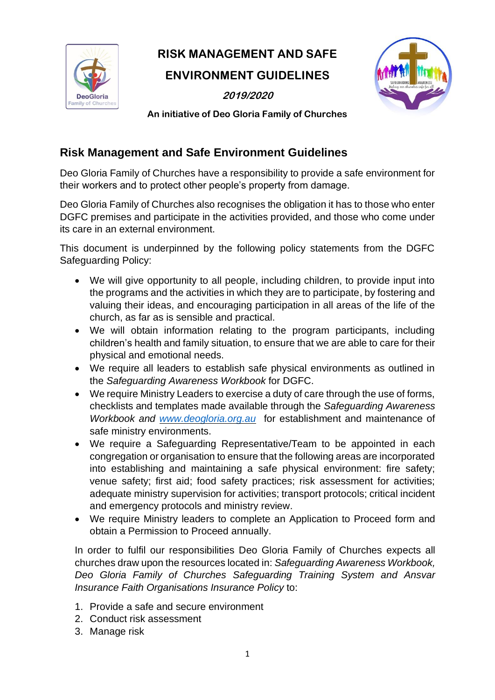

# **RISK MANAGEMENT AND SAFE**

## **ENVIRONMENT GUIDELINES**

**2019/2020**



**An initiative of Deo Gloria Family of Churches** 

### **Risk Management and Safe Environment Guidelines**

Deo Gloria Family of Churches have a responsibility to provide a safe environment for their workers and to protect other people's property from damage.

Deo Gloria Family of Churches also recognises the obligation it has to those who enter DGFC premises and participate in the activities provided, and those who come under its care in an external environment.

This document is underpinned by the following policy statements from the DGFC Safeguarding Policy:

- We will give opportunity to all people, including children, to provide input into the programs and the activities in which they are to participate, by fostering and valuing their ideas, and encouraging participation in all areas of the life of the church, as far as is sensible and practical.
- We will obtain information relating to the program participants, including children's health and family situation, to ensure that we are able to care for their physical and emotional needs.
- We require all leaders to establish safe physical environments as outlined in the *Safeguarding Awareness Workbook* for DGFC.
- We require Ministry Leaders to exercise a duty of care through the use of forms, checklists and templates made available through the *Safeguarding Awareness Workbook and [www.deogloria.org.au](http://www.deogloria.org.au/)* for establishment and maintenance of safe ministry environments.
- We require a Safeguarding Representative/Team to be appointed in each congregation or organisation to ensure that the following areas are incorporated into establishing and maintaining a safe physical environment: fire safety; venue safety; first aid; food safety practices; risk assessment for activities; adequate ministry supervision for activities; transport protocols; critical incident and emergency protocols and ministry review.
- We require Ministry leaders to complete an Application to Proceed form and obtain a Permission to Proceed annually.

In order to fulfil our responsibilities Deo Gloria Family of Churches expects all churches draw upon the resources located in: *Safeguarding Awareness Workbook, Deo Gloria Family of Churches Safeguarding Training System and Ansvar Insurance Faith Organisations Insurance Policy* to:

- 1. Provide a safe and secure environment
- 2. Conduct risk assessment
- 3. Manage risk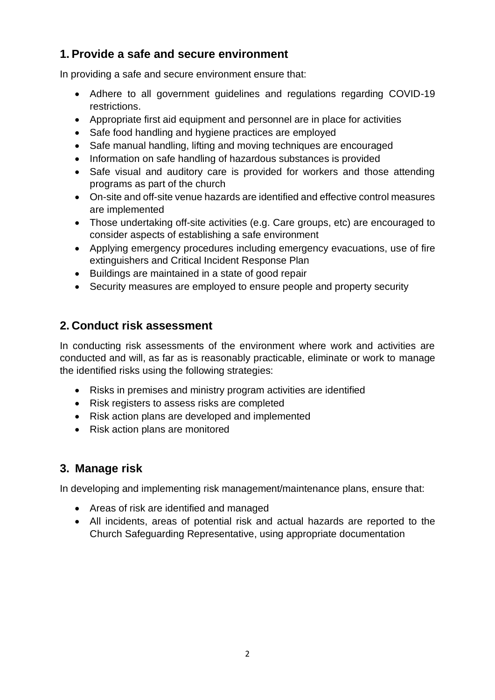### **1. Provide a safe and secure environment**

In providing a safe and secure environment ensure that:

- Adhere to all government guidelines and regulations regarding COVID-19 restrictions.
- Appropriate first aid equipment and personnel are in place for activities
- Safe food handling and hygiene practices are employed
- Safe manual handling, lifting and moving techniques are encouraged
- Information on safe handling of hazardous substances is provided
- Safe visual and auditory care is provided for workers and those attending programs as part of the church
- On-site and off-site venue hazards are identified and effective control measures are implemented
- Those undertaking off-site activities (e.g. Care groups, etc) are encouraged to consider aspects of establishing a safe environment
- Applying emergency procedures including emergency evacuations, use of fire extinguishers and Critical Incident Response Plan
- Buildings are maintained in a state of good repair
- Security measures are employed to ensure people and property security

### **2. Conduct risk assessment**

In conducting risk assessments of the environment where work and activities are conducted and will, as far as is reasonably practicable, eliminate or work to manage the identified risks using the following strategies:

- Risks in premises and ministry program activities are identified
- Risk registers to assess risks are completed
- Risk action plans are developed and implemented
- Risk action plans are monitored

### **3. Manage risk**

In developing and implementing risk management/maintenance plans, ensure that:

- Areas of risk are identified and managed
- All incidents, areas of potential risk and actual hazards are reported to the Church Safeguarding Representative, using appropriate documentation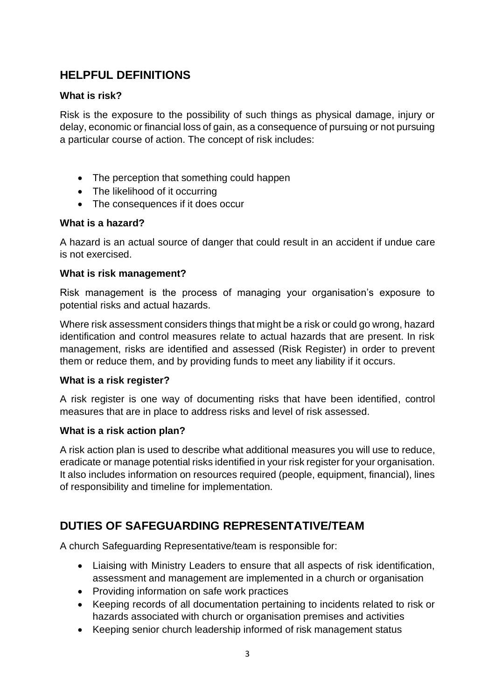### **HELPFUL DEFINITIONS**

#### **What is risk?**

Risk is the exposure to the possibility of such things as physical damage, injury or delay, economic or financial loss of gain, as a consequence of pursuing or not pursuing a particular course of action. The concept of risk includes:

- The perception that something could happen
- The likelihood of it occurring
- The consequences if it does occur

#### **What is a hazard?**

A hazard is an actual source of danger that could result in an accident if undue care is not exercised.

#### **What is risk management?**

Risk management is the process of managing your organisation's exposure to potential risks and actual hazards.

Where risk assessment considers things that might be a risk or could go wrong, hazard identification and control measures relate to actual hazards that are present. In risk management, risks are identified and assessed (Risk Register) in order to prevent them or reduce them, and by providing funds to meet any liability if it occurs.

#### **What is a risk register?**

A risk register is one way of documenting risks that have been identified, control measures that are in place to address risks and level of risk assessed.

#### **What is a risk action plan?**

A risk action plan is used to describe what additional measures you will use to reduce, eradicate or manage potential risks identified in your risk register for your organisation. It also includes information on resources required (people, equipment, financial), lines of responsibility and timeline for implementation.

### **DUTIES OF SAFEGUARDING REPRESENTATIVE/TEAM**

A church Safeguarding Representative/team is responsible for:

- Liaising with Ministry Leaders to ensure that all aspects of risk identification, assessment and management are implemented in a church or organisation
- Providing information on safe work practices
- Keeping records of all documentation pertaining to incidents related to risk or hazards associated with church or organisation premises and activities
- Keeping senior church leadership informed of risk management status